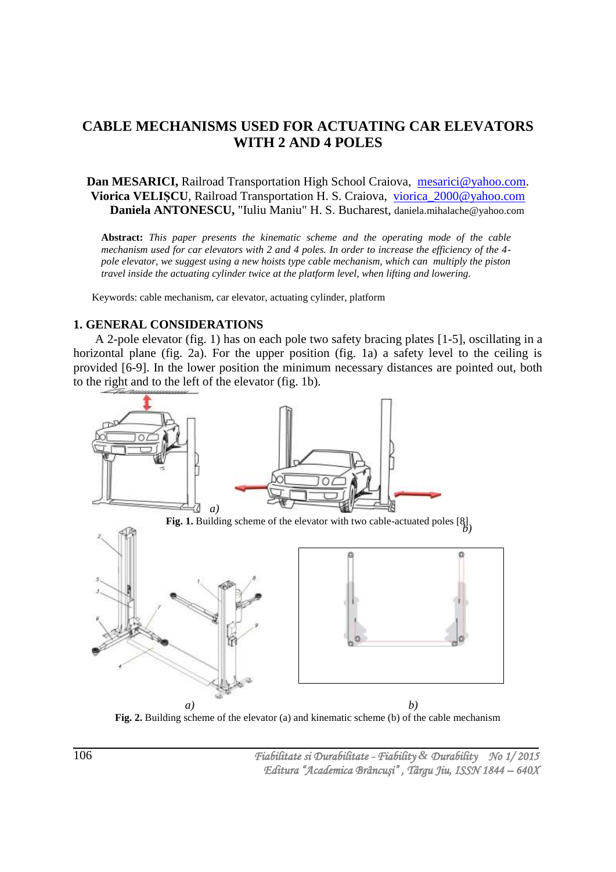# **CABLE MECHANISMS USED FOR ACTUATING CAR ELEVATORS WITH 2 AND 4 POLES**

## **Dan MESARICI,** Railroad Transportation High School Craiova, [mesarici@yahoo.com.](mailto:mesarici@yahoo.com) **Viorica VELIȘCU**, Railroad Transportation H. S. Craiova, [viorica\\_2000@yahoo.com](mailto:viorica_2000@yahoo.com) **Daniela ANTONESCU,** "Iuliu Maniu" H. S. Bucharest, daniela.mihalache@yahoo.com

**Abstract:** *This paper presents the kinematic scheme and the operating mode of the cable mechanism used for car elevators with 2 and 4 poles. In order to increase the efficiency of the 4 pole elevator, we suggest using a new hoists type cable mechanism, which can multiply the piston travel inside the actuating cylinder twice at the platform level, when lifting and lowering.*

Keywords: cable mechanism, car elevator, actuating cylinder, platform

#### **1. GENERAL CONSIDERATIONS**

A 2-pole elevator (fig. 1) has on each pole two safety bracing plates [1-5], oscillating in a horizontal plane (fig. 2a). For the upper position (fig. 1a) a safety level to the ceiling is provided [6-9]. In the lower position the minimum necessary distances are pointed out, both to the right and to the left of the elevator (fig. 1b).



**Fig. 2.** Building scheme of the elevator (a) and kinematic scheme (b) of the cable mechanism

 *Fiabilitate si Durabilitate - Fiability & Durability No 1/ 2015 Editura "Academica Brâncuşi" , Târgu Jiu, ISSN 1844 – 640X*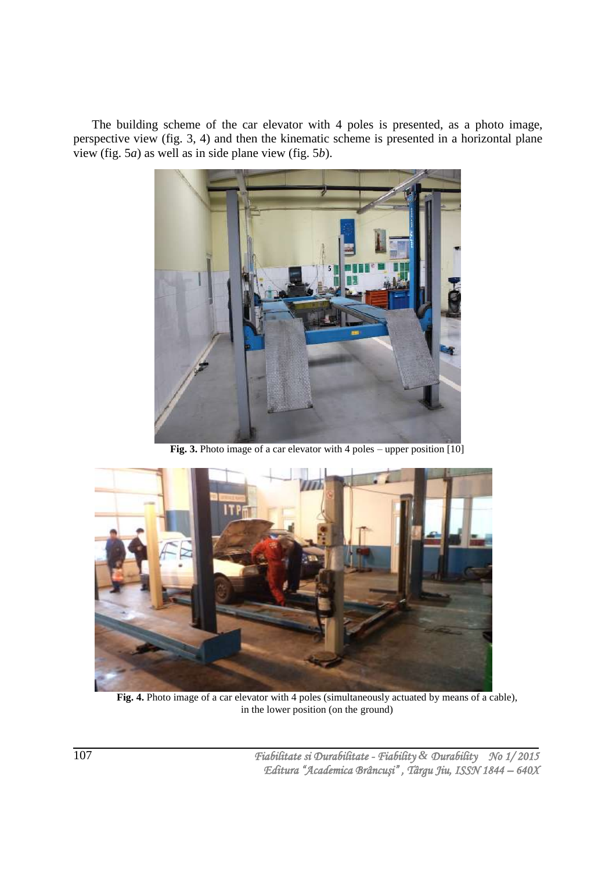The building scheme of the car elevator with 4 poles is presented, as a photo image, perspective view (fig. 3, 4) and then the kinematic scheme is presented in a horizontal plane view (fig. 5*a*) as well as in side plane view (fig. 5*b*).



Fig. 3. Photo image of a car elevator with 4 poles – upper position [10]



**Fig. 4.** Photo image of a car elevator with 4 poles (simultaneously actuated by means of a cable), in the lower position (on the ground)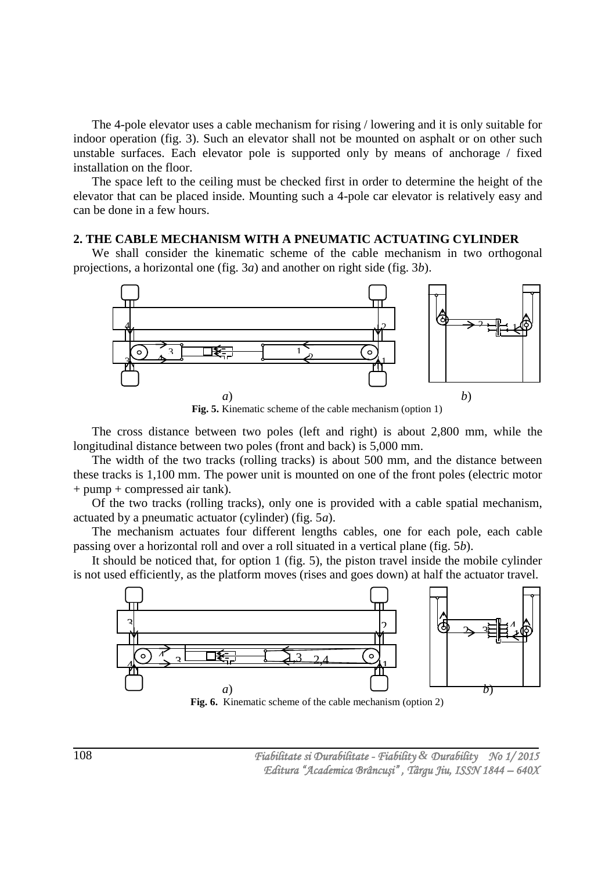The 4-pole elevator uses a cable mechanism for rising / lowering and it is only suitable for indoor operation (fig. 3). Such an elevator shall not be mounted on asphalt or on other such unstable surfaces. Each elevator pole is supported only by means of anchorage / fixed installation on the floor.

The space left to the ceiling must be checked first in order to determine the height of the elevator that can be placed inside. Mounting such a 4-pole car elevator is relatively easy and can be done in a few hours.

#### **2. THE CABLE MECHANISM WITH A PNEUMATIC ACTUATING CYLINDER**

We shall consider the kinematic scheme of the cable mechanism in two orthogonal projections, a horizontal one (fig. 3*a*) and another on right side (fig. 3*b*).



**Fig. 5.** Kinematic scheme of the cable mechanism (option 1)

The cross distance between two poles (left and right) is about 2,800 mm, while the longitudinal distance between two poles (front and back) is 5,000 mm.

The width of the two tracks (rolling tracks) is about 500 mm, and the distance between these tracks is 1,100 mm. The power unit is mounted on one of the front poles (electric motor + pump + compressed air tank).

Of the two tracks (rolling tracks), only one is provided with a cable spatial mechanism, actuated by a pneumatic actuator (cylinder) (fig. 5*a*).

The mechanism actuates four different lengths cables, one for each pole, each cable passing over a horizontal roll and over a roll situated in a vertical plane (fig. 5*b*).

It should be noticed that, for option 1 (fig. 5), the piston travel inside the mobile cylinder is not used efficiently, as the platform moves (rises and goes down) at half the actuator travel.

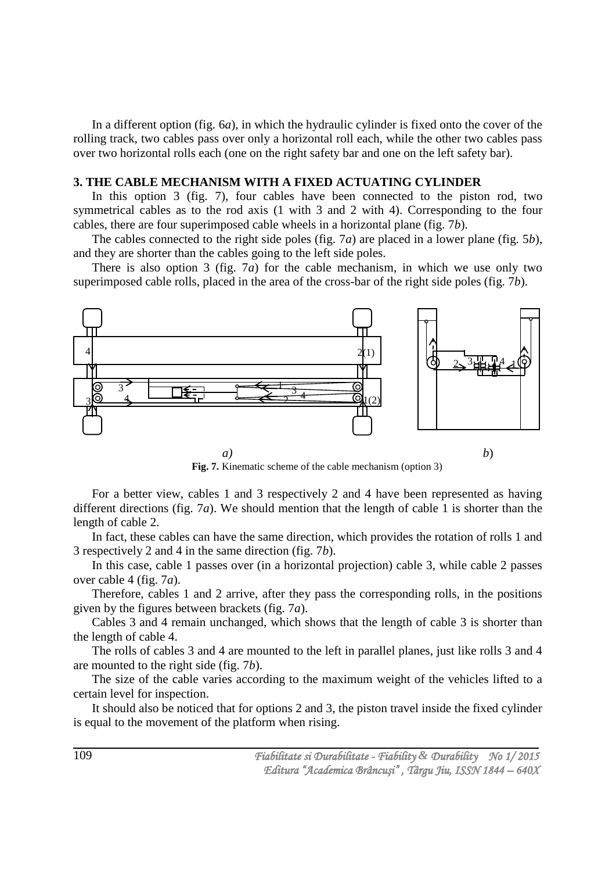In a different option (fig. 6*a*), in which the hydraulic cylinder is fixed onto the cover of the rolling track, two cables pass over only a horizontal roll each, while the other two cables pass over two horizontal rolls each (one on the right safety bar and one on the left safety bar).

## **3. THE CABLE MECHANISM WITH A FIXED ACTUATING CYLINDER**

In this option 3 (fig. 7), four cables have been connected to the piston rod, two symmetrical cables as to the rod axis (1 with 3 and 2 with 4). Corresponding to the four cables, there are four superimposed cable wheels in a horizontal plane (fig. 7*b*).

The cables connected to the right side poles (fig. 7*a*) are placed in a lower plane (fig. 5*b*), and they are shorter than the cables going to the left side poles.

There is also option 3 (fig. 7*a*) for the cable mechanism, in which we use only two superimposed cable rolls, placed in the area of the cross-bar of the right side poles (fig. 7*b*).



**Fig. 7.** Kinematic scheme of the cable mechanism (option 3)

For a better view, cables 1 and 3 respectively 2 and 4 have been represented as having different directions (fig. 7*a*). We should mention that the length of cable 1 is shorter than the length of cable 2.

In fact, these cables can have the same direction, which provides the rotation of rolls 1 and 3 respectively 2 and 4 in the same direction (fig. 7*b*).

In this case, cable 1 passes over (in a horizontal projection) cable 3, while cable 2 passes over cable 4 (fig. 7*a*).

Therefore, cables 1 and 2 arrive, after they pass the corresponding rolls, in the positions given by the figures between brackets (fig. 7*a*).

Cables 3 and 4 remain unchanged, which shows that the length of cable 3 is shorter than the length of cable 4.

The rolls of cables 3 and 4 are mounted to the left in parallel planes, just like rolls 3 and 4 are mounted to the right side (fig. 7*b*).

The size of the cable varies according to the maximum weight of the vehicles lifted to a certain level for inspection.

It should also be noticed that for options 2 and 3, the piston travel inside the fixed cylinder is equal to the movement of the platform when rising.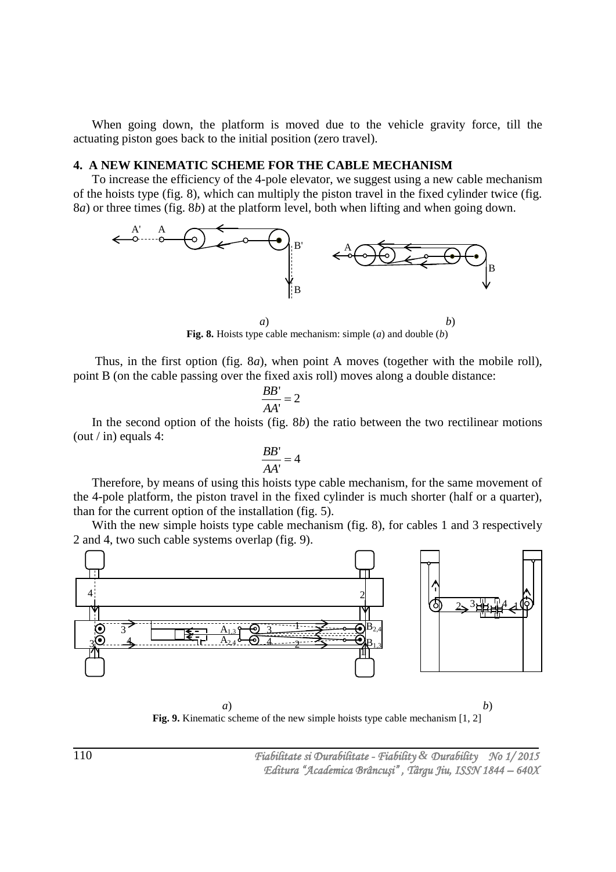When going down, the platform is moved due to the vehicle gravity force, till the actuating piston goes back to the initial position (zero travel).

## **4. A NEW KINEMATIC SCHEME FOR THE CABLE MECHANISM**

To increase the efficiency of the 4-pole elevator, we suggest using a new cable mechanism of the hoists type (fig. 8), which can multiply the piston travel in the fixed cylinder twice (fig. 8*a*) or three times (fig. 8*b*) at the platform level, both when lifting and when going down.



**Fig. 8.** Hoists type cable mechanism: simple (*a*) and double (*b*)

 Thus, in the first option (fig. 8*a*), when point A moves (together with the mobile roll), point B (on the cable passing over the fixed axis roll) moves along a double distance:

$$
\frac{BB'}{AA'}=2
$$

In the second option of the hoists (fig. 8*b*) the ratio between the two rectilinear motions (out / in) equals 4:

$$
\frac{BB'}{AA'}=4
$$

Therefore, by means of using this hoists type cable mechanism, for the same movement of the 4-pole platform, the piston travel in the fixed cylinder is much shorter (half or a quarter), than for the current option of the installation (fig. 5).

With the new simple hoists type cable mechanism (fig. 8), for cables 1 and 3 respectively 2 and 4, two such cable systems overlap (fig. 9).



*a*) *b*) **Fig. 9.** Kinematic scheme of the new simple hoists type cable mechanism [1, 2]

 *Fiabilitate si Durabilitate - Fiability & Durability No 1/ 2015 Editura "Academica Brâncuşi" , Târgu Jiu, ISSN 1844 – 640X*